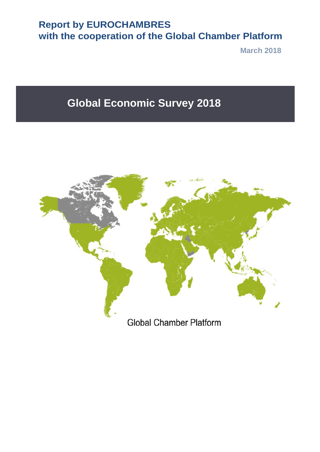## **Report by EUROCHAMBRES with the cooperation of the Global Chamber Platform**

**March 2018**

# **Global Economic Survey 2018**

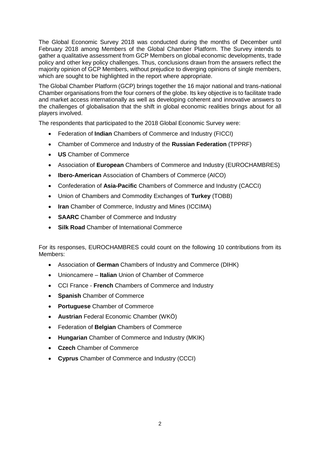The Global Economic Survey 2018 was conducted during the months of December until February 2018 among Members of the Global Chamber Platform. The Survey intends to gather a qualitative assessment from GCP Members on global economic developments, trade policy and other key policy challenges. Thus, conclusions drawn from the answers reflect the majority opinion of GCP Members, without prejudice to diverging opinions of single members, which are sought to be highlighted in the report where appropriate.

The Global Chamber Platform (GCP) brings together the 16 major national and trans-national Chamber organisations from the four corners of the globe. Its key objective is to facilitate trade and market access internationally as well as developing coherent and innovative answers to the challenges of globalisation that the shift in global economic realities brings about for all players involved.

The respondents that participated to the 2018 Global Economic Survey were:

- Federation of **Indian** Chambers of Commerce and Industry (FICCI)
- Chamber of Commerce and Industry of the **Russian Federation** (TPPRF)
- **US** Chamber of Commerce
- Association of **European** Chambers of Commerce and Industry (EUROCHAMBRES)
- **Ibero-American** Association of Chambers of Commerce (AICO)
- Confederation of **Asia-Pacific** Chambers of Commerce and Industry (CACCI)
- Union of Chambers and Commodity Exchanges of **Turkey** (TOBB)
- **Iran** Chamber of Commerce, Industry and Mines (ICCIMA)
- **SAARC** Chamber of Commerce and Industry
- **Silk Road** Chamber of International Commerce

For its responses, EUROCHAMBRES could count on the following 10 contributions from its Members:

- Association of **German** Chambers of Industry and Commerce (DIHK)
- Unioncamere **Italian** Union of Chamber of Commerce
- CCI France **French** Chambers of Commerce and Industry
- **Spanish** Chamber of Commerce
- **Portuguese** Chamber of Commerce
- **Austrian** Federal Economic Chamber (WKÖ)
- Federation of **Belgian** Chambers of Commerce
- **Hungarian** Chamber of Commerce and Industry (MKIK)
- **Czech** Chamber of Commerce
- **Cyprus** Chamber of Commerce and Industry (CCCI)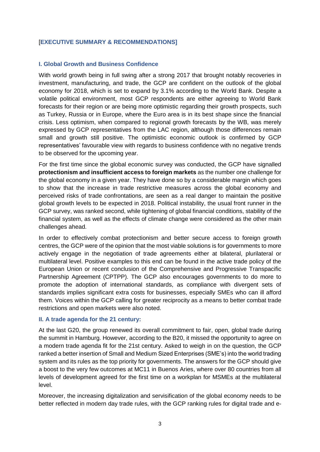#### [**EXECUTIVE SUMMARY & RECOMMENDATIONS]**

#### **I. Global Growth and Business Confidence**

With world growth being in full swing after a strong 2017 that brought notably recoveries in investment, manufacturing, and trade, the GCP are confident on the outlook of the global economy for 2018, which is set to expand by 3.1% according to the World Bank. Despite a volatile political environment, most GCP respondents are either agreeing to World Bank forecasts for their region or are being more optimistic regarding their growth prospects, such as Turkey, Russia or in Europe, where the Euro area is in its best shape since the financial crisis. Less optimism, when compared to regional growth forecasts by the WB, was merely expressed by GCP representatives from the LAC region, although those differences remain small and growth still positive. The optimistic economic outlook is confirmed by GCP representatives' favourable view with regards to business confidence with no negative trends to be observed for the upcoming year.

For the first time since the global economic survey was conducted, the GCP have signalled **protectionism and insufficient access to foreign markets** as the number one challenge for the global economy in a given year. They have done so by a considerable margin which goes to show that the increase in trade restrictive measures across the global economy and perceived risks of trade confrontations, are seen as a real danger to maintain the positive global growth levels to be expected in 2018. Political instability, the usual front runner in the GCP survey, was ranked second, while tightening of global financial conditions, stability of the financial system, as well as the effects of climate change were considered as the other main challenges ahead.

In order to effectively combat protectionism and better secure access to foreign growth centres, the GCP were of the opinion that the most viable solutions is for governments to more actively engage in the negotiation of trade agreements either at bilateral, plurilateral or multilateral level. Positive examples to this end can be found in the active trade policy of the European Union or recent conclusion of the Comprehensive and Progressive Transpacific Partnership Agreement (CPTPP). The GCP also encourages governments to do more to promote the adoption of international standards, as compliance with divergent sets of standards implies significant extra costs for businesses, especially SMEs who can ill afford them. Voices within the GCP calling for greater reciprocity as a means to better combat trade restrictions and open markets were also noted.

#### **II. A trade agenda for the 21 century:**

At the last G20, the group renewed its overall commitment to fair, open, global trade during the summit in Hamburg. However, according to the B20, it missed the opportunity to agree on a modern trade agenda fit for the 21st century. Asked to weigh in on the question, the GCP ranked a better insertion of Small and Medium Sized Enterprises (SME's) into the world trading system and its rules as the top priority for governments. The answers for the GCP should give a boost to the very few outcomes at MC11 in Buenos Aries, where over 80 countries from all levels of development agreed for the first time on a workplan for MSMEs at the multilateral level.

Moreover, the increasing digitalization and servisification of the global economy needs to be better reflected in modern day trade rules, with the GCP ranking rules for digital trade and e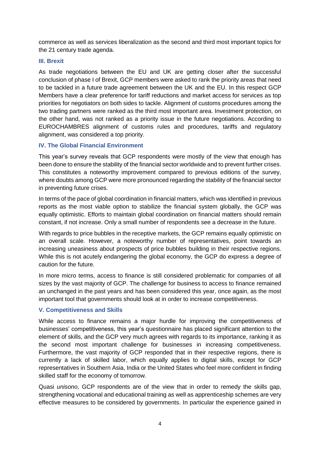commerce as well as services liberalization as the second and third most important topics for the 21 century trade agenda.

#### **III. Brexit**

As trade negotiations between the EU and UK are getting closer after the successful conclusion of phase I of Brexit, GCP members were asked to rank the priority areas that need to be tackled in a future trade agreement between the UK and the EU. In this respect GCP Members have a clear preference for tariff reductions and market access for services as top priorities for negotiators on both sides to tackle. Alignment of customs procedures among the two trading partners were ranked as the third most important area. Investment protection, on the other hand, was not ranked as a priority issue in the future negotiations. According to EUROCHAMBRES alignment of customs rules and procedures, tariffs and regulatory alignment, was considered a top priority.

## **IV. The Global Financial Environment**

This year's survey reveals that GCP respondents were mostly of the view that enough has been done to ensure the stability of the financial sector worldwide and to prevent further crises. This constitutes a noteworthy improvement compared to previous editions of the survey, where doubts among GCP were more pronounced regarding the stability of the financial sector in preventing future crises.

In terms of the pace of global coordination in financial matters, which was identified in previous reports as the most viable option to stabilize the financial system globally, the GCP was equally optimistic. Efforts to maintain global coordination on financial matters should remain constant, if not increase. Only a small number of respondents see a decrease in the future.

With regards to price bubbles in the receptive markets, the GCP remains equally optimistic on an overall scale. However, a noteworthy number of representatives, point towards an increasing uneasiness about prospects of price bubbles building in their respective regions. While this is not acutely endangering the global economy, the GCP do express a degree of caution for the future.

In more micro terms, access to finance is still considered problematic for companies of all sizes by the vast majority of GCP. The challenge for business to access to finance remained an unchanged in the past years and has been considered this year, once again, as the most important tool that governments should look at in order to increase competitiveness.

#### **V. Competitiveness and Skills**

While access to finance remains a major hurdle for improving the competitiveness of businesses' competitiveness, this year's questionnaire has placed significant attention to the element of skills, and the GCP very much agrees with regards to its importance, ranking it as the second most important challenge for businesses in increasing competitiveness. Furthermore, the vast majority of GCP responded that in their respective regions, there is currently a lack of skilled labor, which equally applies to digital skills, except for GCP representatives in Southern Asia, India or the United States who feel more confident in finding skilled staff for the economy of tomorrow.

Quasi *unisono*, GCP respondents are of the view that in order to remedy the skills gap, strengthening vocational and educational training as well as apprenticeship schemes are very effective measures to be considered by governments. In particular the experience gained in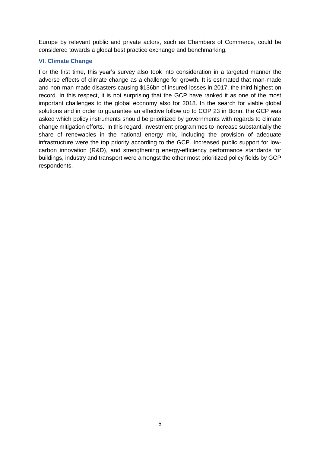Europe by relevant public and private actors, such as Chambers of Commerce, could be considered towards a global best practice exchange and benchmarking.

### **VI. Climate Change**

For the first time, this year's survey also took into consideration in a targeted manner the adverse effects of climate change as a challenge for growth. It is estimated that man-made and non-man-made disasters causing \$136bn of insured losses in 2017, the third highest on record. In this respect, it is not surprising that the GCP have ranked it as one of the most important challenges to the global economy also for 2018. In the search for viable global solutions and in order to guarantee an effective follow up to COP 23 in Bonn, the GCP was asked which policy instruments should be prioritized by governments with regards to climate change mitigation efforts. In this regard, investment programmes to increase substantially the share of renewables in the national energy mix, including the provision of adequate infrastructure were the top priority according to the GCP. Increased public support for lowcarbon innovation (R&D), and strengthening energy-efficiency performance standards for buildings, industry and transport were amongst the other most prioritized policy fields by GCP respondents.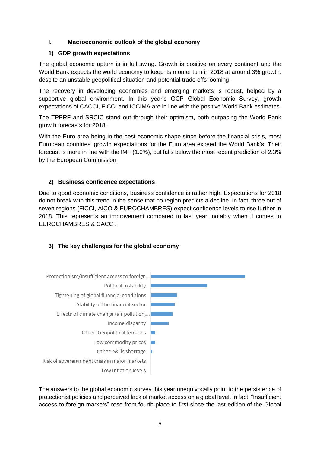## **I. Macroeconomic outlook of the global economy**

## **1) GDP growth expectations**

The global economic upturn is in full swing. Growth is positive on every continent and the World Bank expects the world economy to keep its momentum in 2018 at around 3% growth, despite an unstable geopolitical situation and potential trade offs looming.

The recovery in developing economies and emerging markets is robust, helped by a supportive global environment. In this year's GCP Global Economic Survey, growth expectations of CACCI, FICCI and ICCIMA are in line with the positive World Bank estimates.

The TPPRF and SRCIC stand out through their optimism, both outpacing the World Bank growth forecasts for 2018.

With the Euro area being in the best economic shape since before the financial crisis, most European countries' growth expectations for the Euro area exceed the World Bank's. Their forecast is more in line with the IMF (1.9%), but falls below the most recent prediction of 2.3% by the European Commission.

## **2) Business confidence expectations**

Due to good economic conditions, business confidence is rather high. Expectations for 2018 do not break with this trend in the sense that no region predicts a decline. In fact, three out of seven regions (FICCI, AICO & EUROCHAMBRES) expect confidence levels to rise further in 2018. This represents an improvement compared to last year, notably when it comes to EUROCHAMBRES & CACCI.

## **3) The key challenges for the global economy**



The answers to the global economic survey this year unequivocally point to the persistence of protectionist policies and perceived lack of market access on a global level. In fact, "Insufficient access to foreign markets" rose from fourth place to first since the last edition of the Global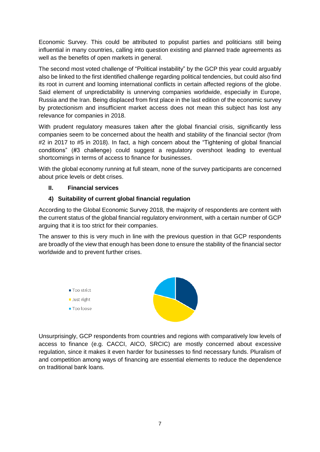Economic Survey. This could be attributed to populist parties and politicians still being influential in many countries, calling into question existing and planned trade agreements as well as the benefits of open markets in general.

The second most voted challenge of "Political instability" by the GCP this year could arguably also be linked to the first identified challenge regarding political tendencies, but could also find its root in current and looming international conflicts in certain affected regions of the globe. Said element of unpredictability is unnerving companies worldwide, especially in Europe, Russia and the Iran. Being displaced from first place in the last edition of the economic survey by protectionism and insufficient market access does not mean this subject has lost any relevance for companies in 2018.

With prudent regulatory measures taken after the global financial crisis, significantly less companies seem to be concerned about the health and stability of the financial sector (from #2 in 2017 to #5 in 2018). In fact, a high concern about the "Tightening of global financial conditions" (#3 challenge) could suggest a regulatory overshoot leading to eventual shortcomings in terms of access to finance for businesses.

With the global economy running at full steam, none of the survey participants are concerned about price levels or debt crises.

## **II. Financial services**

## **4) Suitability of current global financial regulation**

According to the Global Economic Survey 2018, the majority of respondents are content with the current status of the global financial regulatory environment, with a certain number of GCP arguing that it is too strict for their companies.

The answer to this is very much in line with the previous question in that GCP respondents are broadly of the view that enough has been done to ensure the stability of the financial sector worldwide and to prevent further crises.



Unsurprisingly, GCP respondents from countries and regions with comparatively low levels of access to finance (e.g. CACCI, AICO, SRCIC) are mostly concerned about excessive regulation, since it makes it even harder for businesses to find necessary funds. Pluralism of and competition among ways of financing are essential elements to reduce the dependence on traditional bank loans.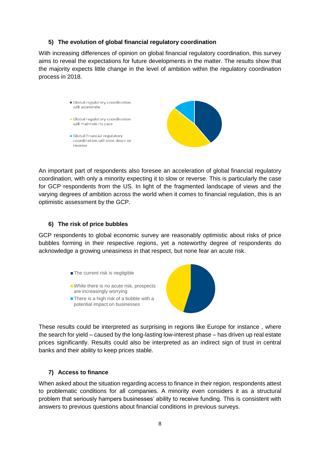#### **5) The evolution of global financial regulatory coordination**

With increasing differences of opinion on global financial regulatory coordination, this survey aims to reveal the expectations for future developments in the matter. The results show that the majority expects little change in the level of ambition within the regulatory coordination process in 2018.

> Global regulatory coordination will accelerate • Global regulatory coordination will maintain its pace Global financial regulatory coordination will slow down or reverse

An important part of respondents also foresee an acceleration of global financial regulatory coordination, with only a minority expecting it to slow or reverse. This is particularly the case for GCP respondents from the US. In light of the fragmented landscape of views and the varying degrees of ambition across the world when it comes to financial regulation, this is an optimistic assessment by the GCP.

#### **6) The risk of price bubbles**

GCP respondents to global economic survey are reasonably optimistic about risks of price bubbles forming in their respective regions, yet a noteworthy degree of respondents do acknowledge a growing uneasiness in that respect, but none fear an acute risk.



These results could be interpreted as surprising in regions like Europe for instance , where the search for yield – caused by the long-lasting low-interest phase – has driven up real estate prices significantly. Results could also be interpreted as an indirect sign of trust in central banks and their ability to keep prices stable.

#### **7) Access to finance**

When asked about the situation regarding access to finance in their region, respondents attest to problematic conditions for all companies. A minority even considers it as a structural problem that seriously hampers businesses' ability to receive funding. This is consistent with answers to previous questions about financial conditions in previous surveys.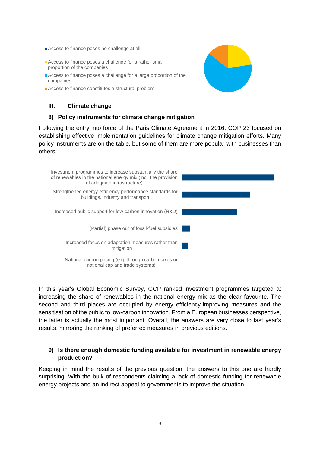- Access to finance poses no challenge at all
- Access to finance poses a challenge for a rather small proportion of the companies
- Access to finance poses a challenge for a large proportion of the companies
- Access to finance constitutes a structural problem

## **III. Climate change**

#### **8) Policy instruments for climate change mitigation**

Following the entry into force of the Paris Climate Agreement in 2016, COP 23 focused on establishing effective implementation guidelines for climate change mitigation efforts. Many policy instruments are on the table, but some of them are more popular with businesses than others.



In this year's Global Economic Survey, GCP ranked investment programmes targeted at increasing the share of renewables in the national energy mix as the clear favourite. The second and third places are occupied by energy efficiency-improving measures and the sensitisation of the public to low-carbon innovation. From a European businesses perspective, the latter is actually the most important. Overall, the answers are very close to last year's results, mirroring the ranking of preferred measures in previous editions.

#### **9) Is there enough domestic funding available for investment in renewable energy production?**

Keeping in mind the results of the previous question, the answers to this one are hardly surprising. With the bulk of respondents claiming a lack of domestic funding for renewable energy projects and an indirect appeal to governments to improve the situation.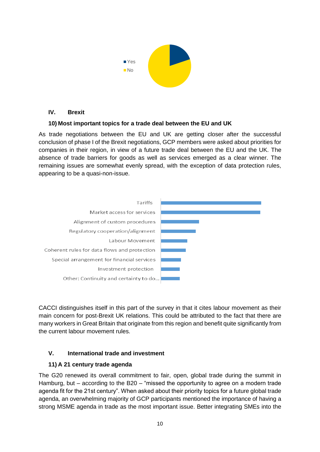

#### **IV. Brexit**

## **10) Most important topics for a trade deal between the EU and UK**

As trade negotiations between the EU and UK are getting closer after the successful conclusion of phase I of the Brexit negotiations, GCP members were asked about priorities for companies in their region, in view of a future trade deal between the EU and the UK. The absence of trade barriers for goods as well as services emerged as a clear winner. The remaining issues are somewhat evenly spread, with the exception of data protection rules, appearing to be a quasi-non-issue.



CACCI distinguishes itself in this part of the survey in that it cites labour movement as their main concern for post-Brexit UK relations. This could be attributed to the fact that there are many workers in Great Britain that originate from this region and benefit quite significantly from the current labour movement rules.

## **V. International trade and investment**

## **11) A 21 century trade agenda**

The G20 renewed its overall commitment to fair, open, global trade during the summit in Hamburg, but – according to the B20 – "missed the opportunity to agree on a modern trade agenda fit for the 21st century". When asked about their priority topics for a future global trade agenda, an overwhelming majority of GCP participants mentioned the importance of having a strong MSME agenda in trade as the most important issue. Better integrating SMEs into the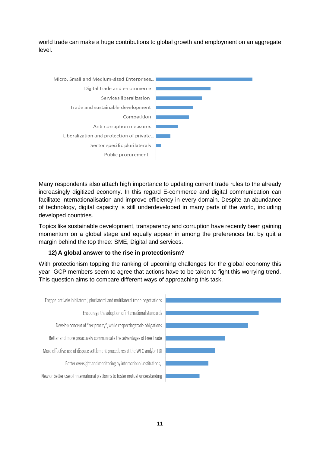world trade can make a huge contributions to global growth and employment on an aggregate level.



Many respondents also attach high importance to updating current trade rules to the already increasingly digitized economy. In this regard E-commerce and digital communication can facilitate internationalisation and improve efficiency in every domain. Despite an abundance of technology, digital capacity is still underdeveloped in many parts of the world, including developed countries.

Topics like sustainable development, transparency and corruption have recently been gaining momentum on a global stage and equally appear in among the preferences but by quit a margin behind the top three: SME, Digital and services.

## **12) A global answer to the rise in protectionism?**

With protectionism topping the ranking of upcoming challenges for the global economy this year, GCP members seem to agree that actions have to be taken to fight this worrying trend. This question aims to compare different ways of approaching this task.

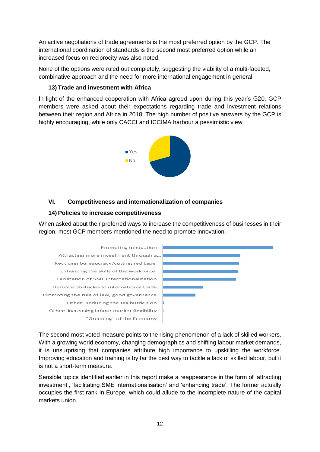An active negotiations of trade agreements is the most preferred option by the GCP. The international coordination of standards is the second most preferred option while an increased focus on reciprocity was also noted.

None of the options were ruled out completely, suggesting the viability of a multi-faceted, combinative approach and the need for more international engagement in general.

## **13) Trade and investment with Africa**

In light of the enhanced cooperation with Africa agreed upon during this year's G20, GCP members were asked about their expectations regarding trade and investment relations between their region and Africa in 2018. The high number of positive answers by the GCP is highly encouraging, while only CACCI and ICCIMA harbour a pessimistic view.



## **VI. Competitiveness and internationalization of companies**

## **14) Policies to increase competitiveness**

When asked about their preferred ways to increase the competitiveness of businesses in their region, most GCP members mentioned the need to promote innovation.



The second most voted measure points to the rising phenomenon of a lack of skilled workers. With a growing world economy, changing demographics and shifting labour market demands, it is unsurprising that companies attribute high importance to upskilling the workforce. Improving education and training is by far the best way to tackle a lack of skilled labour, but it is not a short-term measure.

Sensible topics identified earlier in this report make a reappearance in the form of 'attracting investment', 'facilitating SME internationalisation' and 'enhancing trade'. The former actually occupies the first rank in Europe, which could allude to the incomplete nature of the capital markets union.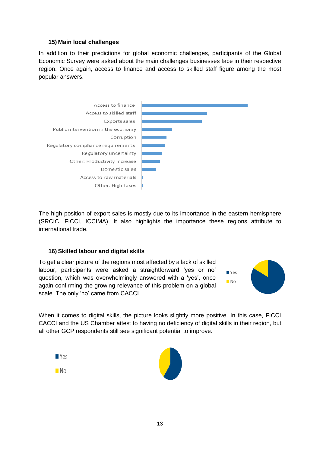#### **15) Main local challenges**

In addition to their predictions for global economic challenges, participants of the Global Economic Survey were asked about the main challenges businesses face in their respective region. Once again, access to finance and access to skilled staff figure among the most popular answers.



The high position of export sales is mostly due to its importance in the eastern hemisphere (SRCIC, FICCI, ICCIMA). It also highlights the importance these regions attribute to international trade.

#### **16) Skilled labour and digital skills**

To get a clear picture of the regions most affected by a lack of skilled labour, participants were asked a straightforward 'yes or no' question, which was overwhelmingly answered with a 'yes', once again confirming the growing relevance of this problem on a global scale. The only 'no' came from CACCI.



When it comes to digital skills, the picture looks slightly more positive. In this case, FICCI CACCI and the US Chamber attest to having no deficiency of digital skills in their region, but all other GCP respondents still see significant potential to improve.